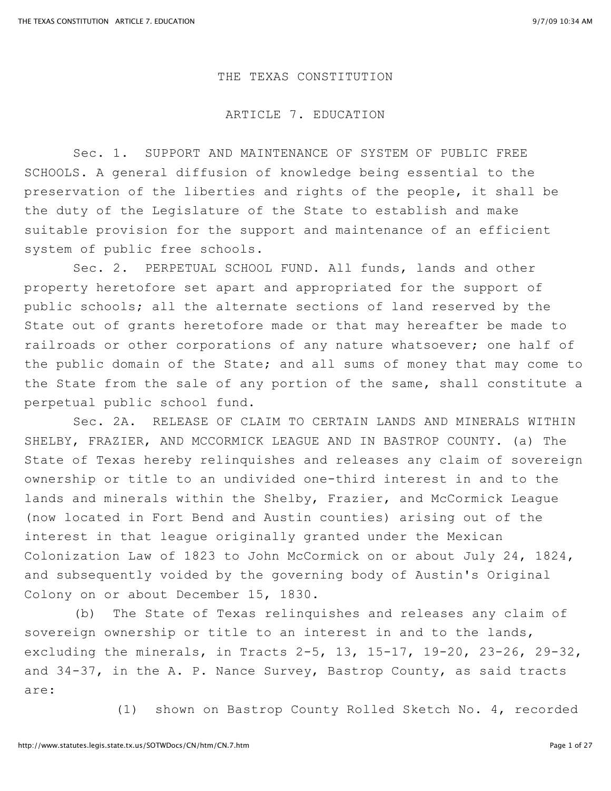## THE TEXAS CONSTITUTION

## ARTICLE 7. EDUCATION

Sec. 1. SUPPORT AND MAINTENANCE OF SYSTEM OF PUBLIC FREE SCHOOLS. A general diffusion of knowledge being essential to the preservation of the liberties and rights of the people, it shall be the duty of the Legislature of the State to establish and make suitable provision for the support and maintenance of an efficient system of public free schools.

Sec. 2. PERPETUAL SCHOOL FUND. All funds, lands and other property heretofore set apart and appropriated for the support of public schools; all the alternate sections of land reserved by the State out of grants heretofore made or that may hereafter be made to railroads or other corporations of any nature whatsoever; one half of the public domain of the State; and all sums of money that may come to the State from the sale of any portion of the same, shall constitute a perpetual public school fund.

Sec. 2A. RELEASE OF CLAIM TO CERTAIN LANDS AND MINERALS WITHIN SHELBY, FRAZIER, AND MCCORMICK LEAGUE AND IN BASTROP COUNTY. (a) The State of Texas hereby relinquishes and releases any claim of sovereign ownership or title to an undivided one-third interest in and to the lands and minerals within the Shelby, Frazier, and McCormick League (now located in Fort Bend and Austin counties) arising out of the interest in that league originally granted under the Mexican Colonization Law of 1823 to John McCormick on or about July 24, 1824, and subsequently voided by the governing body of Austin's Original Colony on or about December 15, 1830.

(b) The State of Texas relinquishes and releases any claim of sovereign ownership or title to an interest in and to the lands, excluding the minerals, in Tracts 2-5, 13, 15-17, 19-20, 23-26, 29-32, and 34-37, in the A. P. Nance Survey, Bastrop County, as said tracts are:

(1) shown on Bastrop County Rolled Sketch No. 4, recorded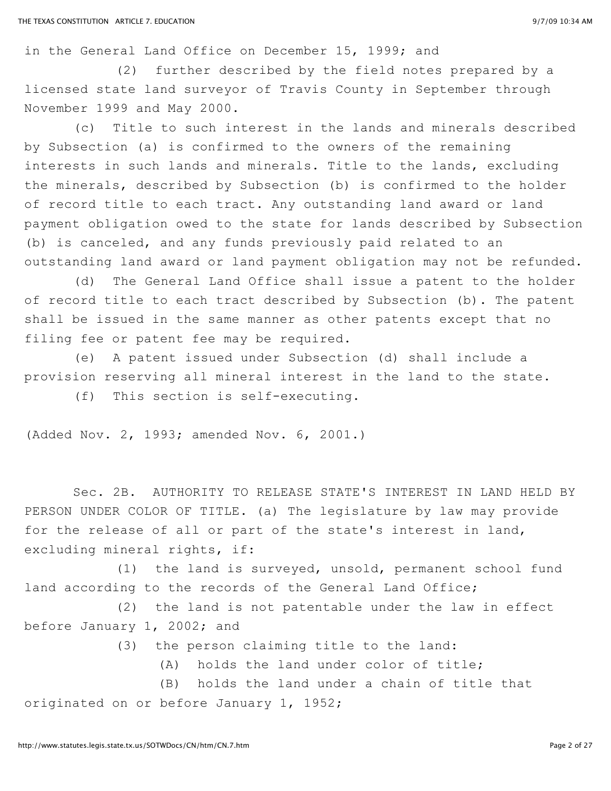in the General Land Office on December 15, 1999; and

(2) further described by the field notes prepared by a licensed state land surveyor of Travis County in September through November 1999 and May 2000.

(c) Title to such interest in the lands and minerals described by Subsection (a) is confirmed to the owners of the remaining interests in such lands and minerals. Title to the lands, excluding the minerals, described by Subsection (b) is confirmed to the holder of record title to each tract. Any outstanding land award or land payment obligation owed to the state for lands described by Subsection (b) is canceled, and any funds previously paid related to an outstanding land award or land payment obligation may not be refunded.

(d) The General Land Office shall issue a patent to the holder of record title to each tract described by Subsection (b). The patent shall be issued in the same manner as other patents except that no filing fee or patent fee may be required.

(e) A patent issued under Subsection (d) shall include a provision reserving all mineral interest in the land to the state.

(f) This section is self-executing.

(Added Nov. 2, 1993; amended Nov. 6, 2001.)

Sec. 2B. AUTHORITY TO RELEASE STATE'S INTEREST IN LAND HELD BY PERSON UNDER COLOR OF TITLE. (a) The legislature by law may provide for the release of all or part of the state's interest in land, excluding mineral rights, if:

(1) the land is surveyed, unsold, permanent school fund land according to the records of the General Land Office;

(2) the land is not patentable under the law in effect before January 1, 2002; and

(3) the person claiming title to the land:

(A) holds the land under color of title;

(B) holds the land under a chain of title that originated on or before January 1, 1952;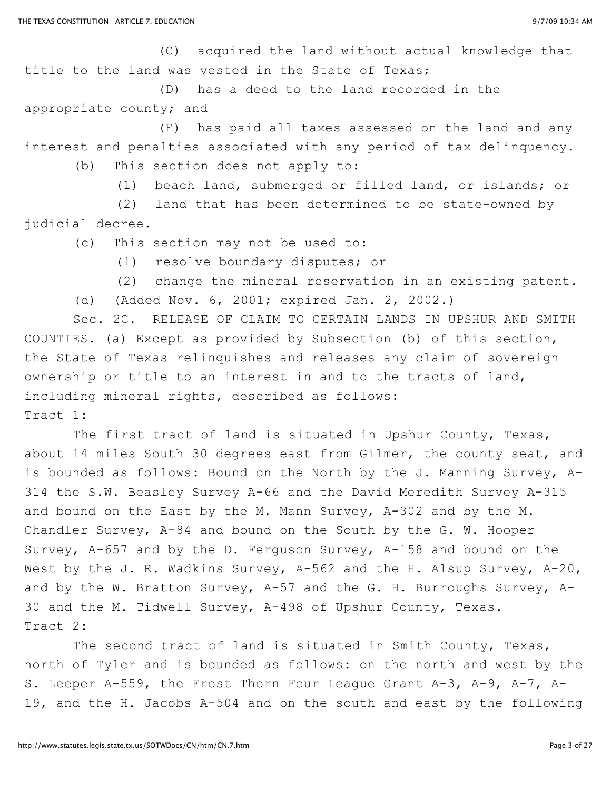(C) acquired the land without actual knowledge that title to the land was vested in the State of Texas;

(D) has a deed to the land recorded in the appropriate county; and

(E) has paid all taxes assessed on the land and any interest and penalties associated with any period of tax delinquency.

(b) This section does not apply to:

(1) beach land, submerged or filled land, or islands; or

(2) land that has been determined to be state-owned by judicial decree.

(c) This section may not be used to:

(1) resolve boundary disputes; or

(2) change the mineral reservation in an existing patent.

(d) (Added Nov. 6, 2001; expired Jan. 2, 2002.)

Sec. 2C. RELEASE OF CLAIM TO CERTAIN LANDS IN UPSHUR AND SMITH COUNTIES. (a) Except as provided by Subsection (b) of this section, the State of Texas relinquishes and releases any claim of sovereign ownership or title to an interest in and to the tracts of land, including mineral rights, described as follows: Tract 1:

The first tract of land is situated in Upshur County, Texas, about 14 miles South 30 degrees east from Gilmer, the county seat, and is bounded as follows: Bound on the North by the J. Manning Survey, A-314 the S.W. Beasley Survey A-66 and the David Meredith Survey A-315 and bound on the East by the M. Mann Survey, A-302 and by the M. Chandler Survey, A-84 and bound on the South by the G. W. Hooper Survey, A-657 and by the D. Ferguson Survey, A-158 and bound on the West by the J. R. Wadkins Survey, A-562 and the H. Alsup Survey, A-20, and by the W. Bratton Survey, A-57 and the G. H. Burroughs Survey, A-30 and the M. Tidwell Survey, A-498 of Upshur County, Texas. Tract 2:

The second tract of land is situated in Smith County, Texas, north of Tyler and is bounded as follows: on the north and west by the S. Leeper A-559, the Frost Thorn Four League Grant A-3, A-9, A-7, A-19, and the H. Jacobs A-504 and on the south and east by the following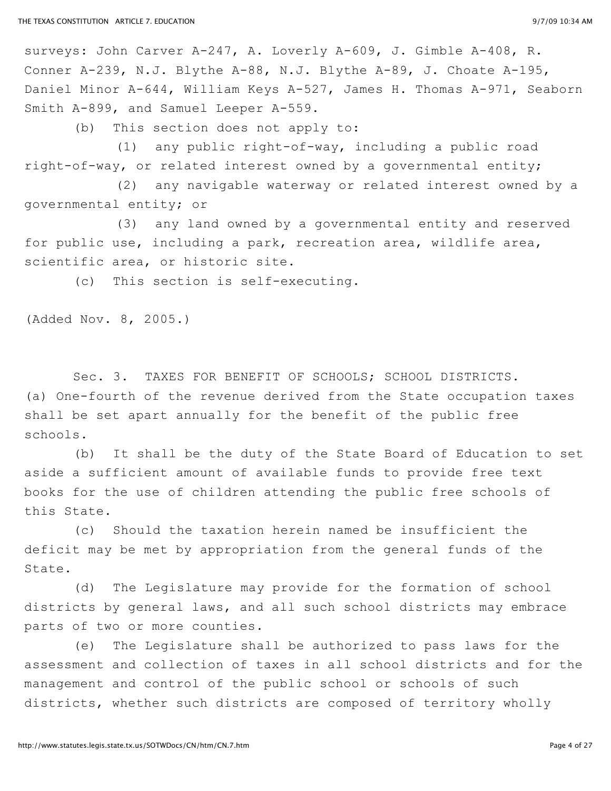surveys: John Carver A-247, A. Loverly A-609, J. Gimble A-408, R. Conner A-239, N.J. Blythe A-88, N.J. Blythe A-89, J. Choate A-195, Daniel Minor A-644, William Keys A-527, James H. Thomas A-971, Seaborn Smith A-899, and Samuel Leeper A-559.

(b) This section does not apply to:

(1) any public right-of-way, including a public road right-of-way, or related interest owned by a governmental entity;

(2) any navigable waterway or related interest owned by a governmental entity; or

(3) any land owned by a governmental entity and reserved for public use, including a park, recreation area, wildlife area, scientific area, or historic site.

(c) This section is self-executing.

(Added Nov. 8, 2005.)

Sec. 3. TAXES FOR BENEFIT OF SCHOOLS; SCHOOL DISTRICTS. (a) One-fourth of the revenue derived from the State occupation taxes shall be set apart annually for the benefit of the public free schools.

(b) It shall be the duty of the State Board of Education to set aside a sufficient amount of available funds to provide free text books for the use of children attending the public free schools of this State.

(c) Should the taxation herein named be insufficient the deficit may be met by appropriation from the general funds of the State.

(d) The Legislature may provide for the formation of school districts by general laws, and all such school districts may embrace parts of two or more counties.

(e) The Legislature shall be authorized to pass laws for the assessment and collection of taxes in all school districts and for the management and control of the public school or schools of such districts, whether such districts are composed of territory wholly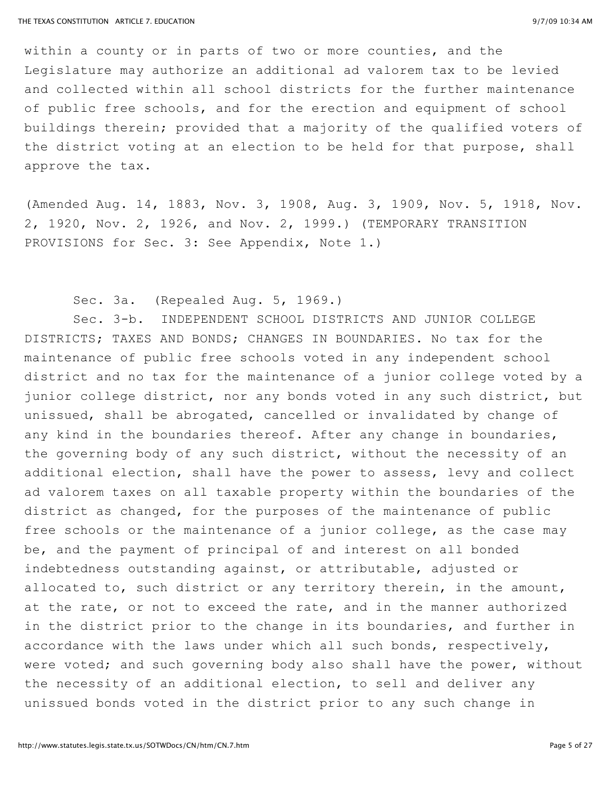within a county or in parts of two or more counties, and the Legislature may authorize an additional ad valorem tax to be levied and collected within all school districts for the further maintenance of public free schools, and for the erection and equipment of school buildings therein; provided that a majority of the qualified voters of the district voting at an election to be held for that purpose, shall approve the tax.

(Amended Aug. 14, 1883, Nov. 3, 1908, Aug. 3, 1909, Nov. 5, 1918, Nov. 2, 1920, Nov. 2, 1926, and Nov. 2, 1999.) (TEMPORARY TRANSITION PROVISIONS for Sec. 3: See Appendix, Note 1.)

## Sec. 3a. (Repealed Aug. 5, 1969.)

Sec. 3-b. INDEPENDENT SCHOOL DISTRICTS AND JUNIOR COLLEGE DISTRICTS; TAXES AND BONDS; CHANGES IN BOUNDARIES. No tax for the maintenance of public free schools voted in any independent school district and no tax for the maintenance of a junior college voted by a junior college district, nor any bonds voted in any such district, but unissued, shall be abrogated, cancelled or invalidated by change of any kind in the boundaries thereof. After any change in boundaries, the governing body of any such district, without the necessity of an additional election, shall have the power to assess, levy and collect ad valorem taxes on all taxable property within the boundaries of the district as changed, for the purposes of the maintenance of public free schools or the maintenance of a junior college, as the case may be, and the payment of principal of and interest on all bonded indebtedness outstanding against, or attributable, adjusted or allocated to, such district or any territory therein, in the amount, at the rate, or not to exceed the rate, and in the manner authorized in the district prior to the change in its boundaries, and further in accordance with the laws under which all such bonds, respectively, were voted; and such governing body also shall have the power, without the necessity of an additional election, to sell and deliver any unissued bonds voted in the district prior to any such change in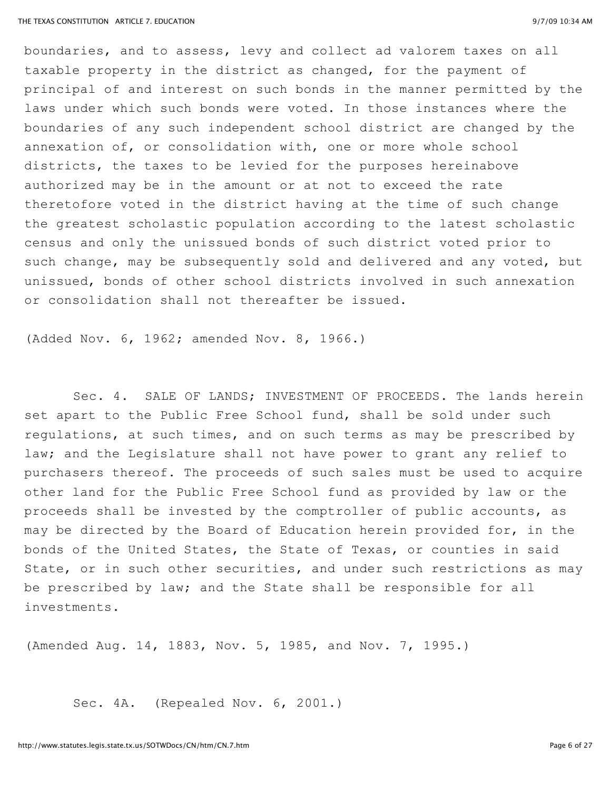boundaries, and to assess, levy and collect ad valorem taxes on all taxable property in the district as changed, for the payment of principal of and interest on such bonds in the manner permitted by the laws under which such bonds were voted. In those instances where the boundaries of any such independent school district are changed by the annexation of, or consolidation with, one or more whole school districts, the taxes to be levied for the purposes hereinabove authorized may be in the amount or at not to exceed the rate theretofore voted in the district having at the time of such change the greatest scholastic population according to the latest scholastic census and only the unissued bonds of such district voted prior to such change, may be subsequently sold and delivered and any voted, but unissued, bonds of other school districts involved in such annexation or consolidation shall not thereafter be issued.

(Added Nov. 6, 1962; amended Nov. 8, 1966.)

Sec. 4. SALE OF LANDS; INVESTMENT OF PROCEEDS. The lands herein set apart to the Public Free School fund, shall be sold under such regulations, at such times, and on such terms as may be prescribed by law; and the Legislature shall not have power to grant any relief to purchasers thereof. The proceeds of such sales must be used to acquire other land for the Public Free School fund as provided by law or the proceeds shall be invested by the comptroller of public accounts, as may be directed by the Board of Education herein provided for, in the bonds of the United States, the State of Texas, or counties in said State, or in such other securities, and under such restrictions as may be prescribed by law; and the State shall be responsible for all investments.

(Amended Aug. 14, 1883, Nov. 5, 1985, and Nov. 7, 1995.)

Sec. 4A. (Repealed Nov. 6, 2001.)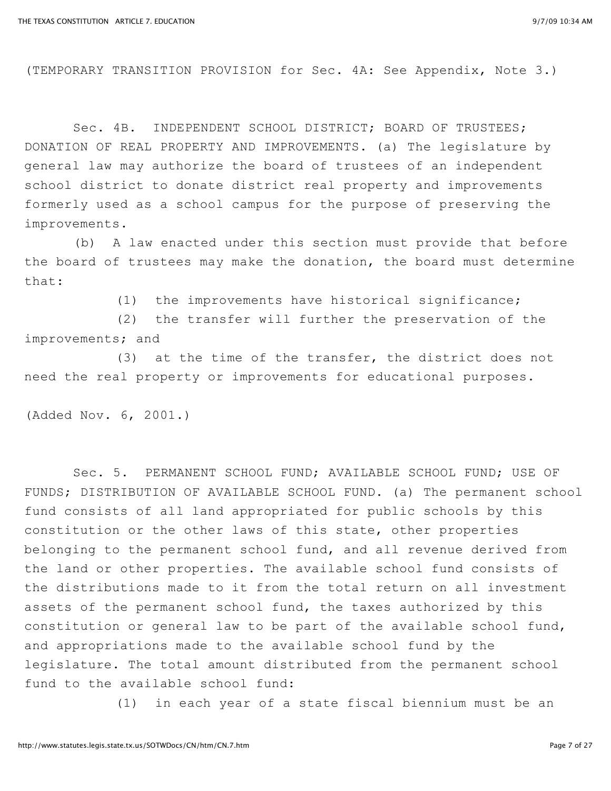(TEMPORARY TRANSITION PROVISION for Sec. 4A: See Appendix, Note 3.)

Sec. 4B. INDEPENDENT SCHOOL DISTRICT; BOARD OF TRUSTEES; DONATION OF REAL PROPERTY AND IMPROVEMENTS. (a) The legislature by general law may authorize the board of trustees of an independent school district to donate district real property and improvements formerly used as a school campus for the purpose of preserving the improvements.

(b) A law enacted under this section must provide that before the board of trustees may make the donation, the board must determine that:

(1) the improvements have historical significance;

(2) the transfer will further the preservation of the improvements; and

(3) at the time of the transfer, the district does not need the real property or improvements for educational purposes.

(Added Nov. 6, 2001.)

Sec. 5. PERMANENT SCHOOL FUND; AVAILABLE SCHOOL FUND; USE OF FUNDS; DISTRIBUTION OF AVAILABLE SCHOOL FUND. (a) The permanent school fund consists of all land appropriated for public schools by this constitution or the other laws of this state, other properties belonging to the permanent school fund, and all revenue derived from the land or other properties. The available school fund consists of the distributions made to it from the total return on all investment assets of the permanent school fund, the taxes authorized by this constitution or general law to be part of the available school fund, and appropriations made to the available school fund by the legislature. The total amount distributed from the permanent school fund to the available school fund:

(1) in each year of a state fiscal biennium must be an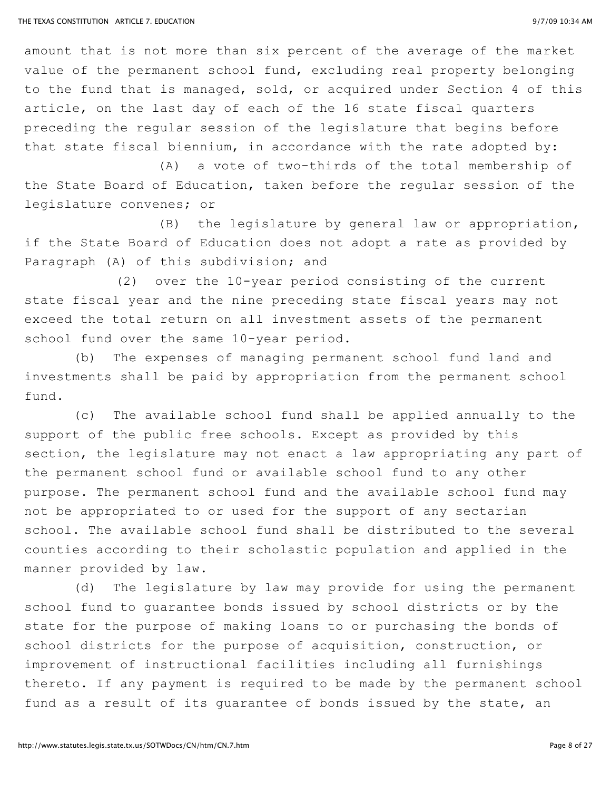amount that is not more than six percent of the average of the market value of the permanent school fund, excluding real property belonging to the fund that is managed, sold, or acquired under Section 4 of this article, on the last day of each of the 16 state fiscal quarters preceding the regular session of the legislature that begins before that state fiscal biennium, in accordance with the rate adopted by:

(A) a vote of two-thirds of the total membership of the State Board of Education, taken before the regular session of the legislature convenes; or

(B) the legislature by general law or appropriation, if the State Board of Education does not adopt a rate as provided by Paragraph (A) of this subdivision; and

(2) over the 10-year period consisting of the current state fiscal year and the nine preceding state fiscal years may not exceed the total return on all investment assets of the permanent school fund over the same 10-year period.

(b) The expenses of managing permanent school fund land and investments shall be paid by appropriation from the permanent school fund.

(c) The available school fund shall be applied annually to the support of the public free schools. Except as provided by this section, the legislature may not enact a law appropriating any part of the permanent school fund or available school fund to any other purpose. The permanent school fund and the available school fund may not be appropriated to or used for the support of any sectarian school. The available school fund shall be distributed to the several counties according to their scholastic population and applied in the manner provided by law.

(d) The legislature by law may provide for using the permanent school fund to guarantee bonds issued by school districts or by the state for the purpose of making loans to or purchasing the bonds of school districts for the purpose of acquisition, construction, or improvement of instructional facilities including all furnishings thereto. If any payment is required to be made by the permanent school fund as a result of its guarantee of bonds issued by the state, an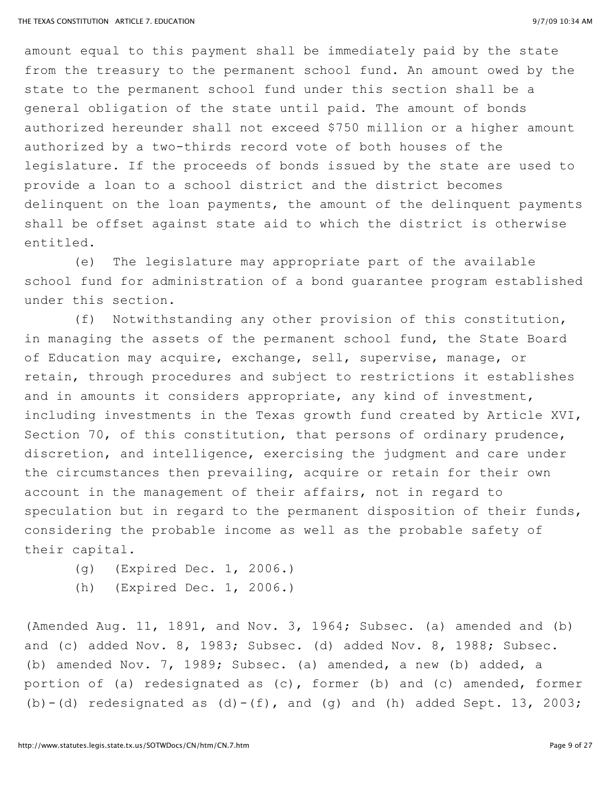amount equal to this payment shall be immediately paid by the state from the treasury to the permanent school fund. An amount owed by the state to the permanent school fund under this section shall be a general obligation of the state until paid. The amount of bonds authorized hereunder shall not exceed \$750 million or a higher amount authorized by a two-thirds record vote of both houses of the legislature. If the proceeds of bonds issued by the state are used to provide a loan to a school district and the district becomes delinquent on the loan payments, the amount of the delinquent payments shall be offset against state aid to which the district is otherwise entitled.

(e) The legislature may appropriate part of the available school fund for administration of a bond guarantee program established under this section.

(f) Notwithstanding any other provision of this constitution, in managing the assets of the permanent school fund, the State Board of Education may acquire, exchange, sell, supervise, manage, or retain, through procedures and subject to restrictions it establishes and in amounts it considers appropriate, any kind of investment, including investments in the Texas growth fund created by Article XVI, Section 70, of this constitution, that persons of ordinary prudence, discretion, and intelligence, exercising the judgment and care under the circumstances then prevailing, acquire or retain for their own account in the management of their affairs, not in regard to speculation but in regard to the permanent disposition of their funds, considering the probable income as well as the probable safety of their capital.

- (g) (Expired Dec. 1, 2006.)
- (h) (Expired Dec. 1, 2006.)

(Amended Aug. 11, 1891, and Nov. 3, 1964; Subsec. (a) amended and (b) and (c) added Nov. 8, 1983; Subsec. (d) added Nov. 8, 1988; Subsec. (b) amended Nov. 7, 1989; Subsec. (a) amended, a new (b) added, a portion of (a) redesignated as (c), former (b) and (c) amended, former (b)  $-(d)$  redesignated as  $(d) - (f)$ , and  $(g)$  and  $(h)$  added Sept. 13, 2003;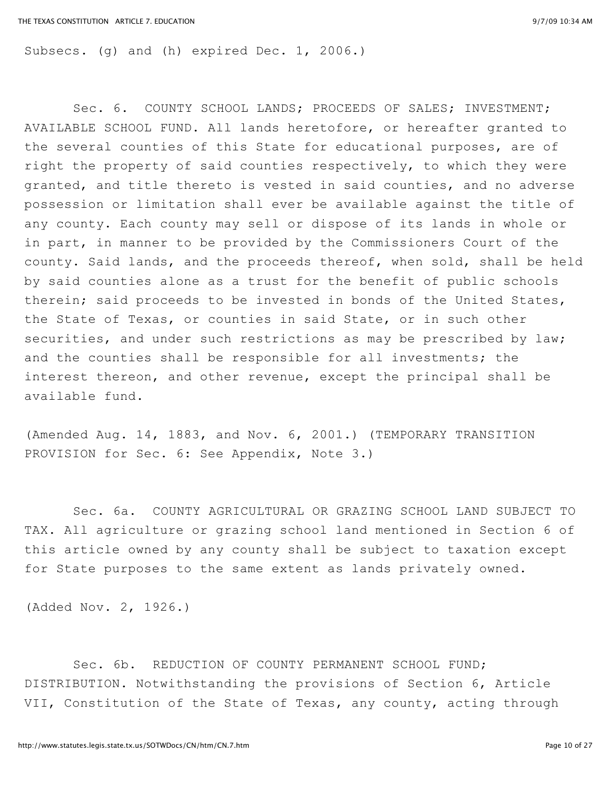Subsecs. (q) and (h) expired Dec. 1, 2006.)

Sec. 6. COUNTY SCHOOL LANDS; PROCEEDS OF SALES; INVESTMENT; AVAILABLE SCHOOL FUND. All lands heretofore, or hereafter granted to the several counties of this State for educational purposes, are of right the property of said counties respectively, to which they were granted, and title thereto is vested in said counties, and no adverse possession or limitation shall ever be available against the title of any county. Each county may sell or dispose of its lands in whole or in part, in manner to be provided by the Commissioners Court of the county. Said lands, and the proceeds thereof, when sold, shall be held by said counties alone as a trust for the benefit of public schools therein; said proceeds to be invested in bonds of the United States, the State of Texas, or counties in said State, or in such other securities, and under such restrictions as may be prescribed by law; and the counties shall be responsible for all investments; the interest thereon, and other revenue, except the principal shall be available fund.

(Amended Aug. 14, 1883, and Nov. 6, 2001.) (TEMPORARY TRANSITION PROVISION for Sec. 6: See Appendix, Note 3.)

Sec. 6a. COUNTY AGRICULTURAL OR GRAZING SCHOOL LAND SUBJECT TO TAX. All agriculture or grazing school land mentioned in Section 6 of this article owned by any county shall be subject to taxation except for State purposes to the same extent as lands privately owned.

(Added Nov. 2, 1926.)

Sec. 6b. REDUCTION OF COUNTY PERMANENT SCHOOL FUND; DISTRIBUTION. Notwithstanding the provisions of Section 6, Article VII, Constitution of the State of Texas, any county, acting through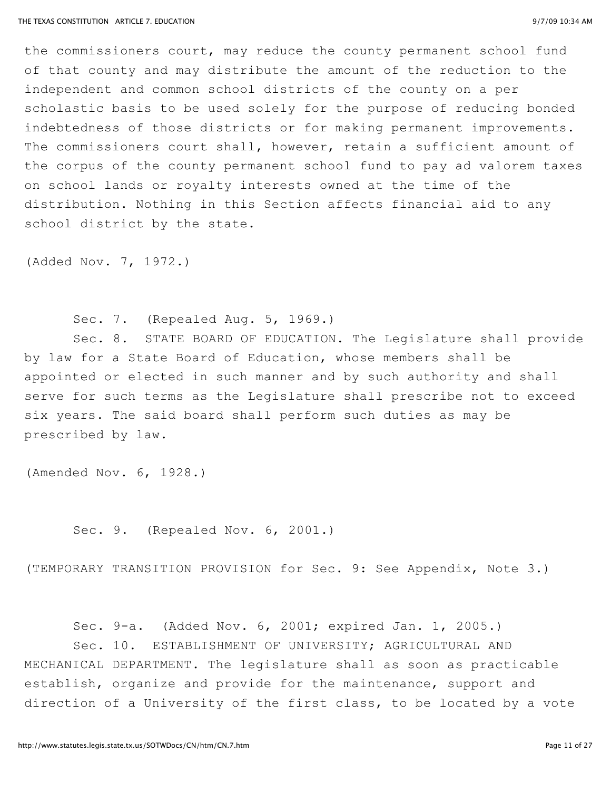the commissioners court, may reduce the county permanent school fund of that county and may distribute the amount of the reduction to the independent and common school districts of the county on a per scholastic basis to be used solely for the purpose of reducing bonded indebtedness of those districts or for making permanent improvements. The commissioners court shall, however, retain a sufficient amount of the corpus of the county permanent school fund to pay ad valorem taxes on school lands or royalty interests owned at the time of the distribution. Nothing in this Section affects financial aid to any school district by the state.

(Added Nov. 7, 1972.)

Sec. 7. (Repealed Aug. 5, 1969.)

Sec. 8. STATE BOARD OF EDUCATION. The Legislature shall provide by law for a State Board of Education, whose members shall be appointed or elected in such manner and by such authority and shall serve for such terms as the Legislature shall prescribe not to exceed six years. The said board shall perform such duties as may be prescribed by law.

(Amended Nov. 6, 1928.)

Sec. 9. (Repealed Nov. 6, 2001.)

(TEMPORARY TRANSITION PROVISION for Sec. 9: See Appendix, Note 3.)

Sec. 9-a. (Added Nov. 6, 2001; expired Jan. 1, 2005.) Sec. 10. ESTABLISHMENT OF UNIVERSITY; AGRICULTURAL AND MECHANICAL DEPARTMENT. The legislature shall as soon as practicable establish, organize and provide for the maintenance, support and direction of a University of the first class, to be located by a vote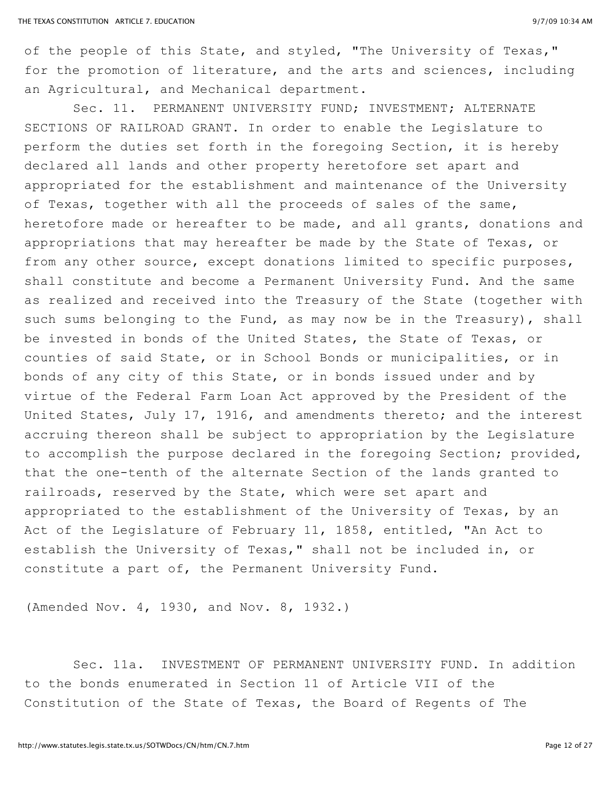of the people of this State, and styled, "The University of Texas," for the promotion of literature, and the arts and sciences, including an Agricultural, and Mechanical department.

Sec. 11. PERMANENT UNIVERSITY FUND; INVESTMENT; ALTERNATE SECTIONS OF RAILROAD GRANT. In order to enable the Legislature to perform the duties set forth in the foregoing Section, it is hereby declared all lands and other property heretofore set apart and appropriated for the establishment and maintenance of the University of Texas, together with all the proceeds of sales of the same, heretofore made or hereafter to be made, and all grants, donations and appropriations that may hereafter be made by the State of Texas, or from any other source, except donations limited to specific purposes, shall constitute and become a Permanent University Fund. And the same as realized and received into the Treasury of the State (together with such sums belonging to the Fund, as may now be in the Treasury), shall be invested in bonds of the United States, the State of Texas, or counties of said State, or in School Bonds or municipalities, or in bonds of any city of this State, or in bonds issued under and by virtue of the Federal Farm Loan Act approved by the President of the United States, July 17, 1916, and amendments thereto; and the interest accruing thereon shall be subject to appropriation by the Legislature to accomplish the purpose declared in the foregoing Section; provided, that the one-tenth of the alternate Section of the lands granted to railroads, reserved by the State, which were set apart and appropriated to the establishment of the University of Texas, by an Act of the Legislature of February 11, 1858, entitled, "An Act to establish the University of Texas," shall not be included in, or constitute a part of, the Permanent University Fund.

(Amended Nov. 4, 1930, and Nov. 8, 1932.)

Sec. 11a. INVESTMENT OF PERMANENT UNIVERSITY FUND. In addition to the bonds enumerated in Section 11 of Article VII of the Constitution of the State of Texas, the Board of Regents of The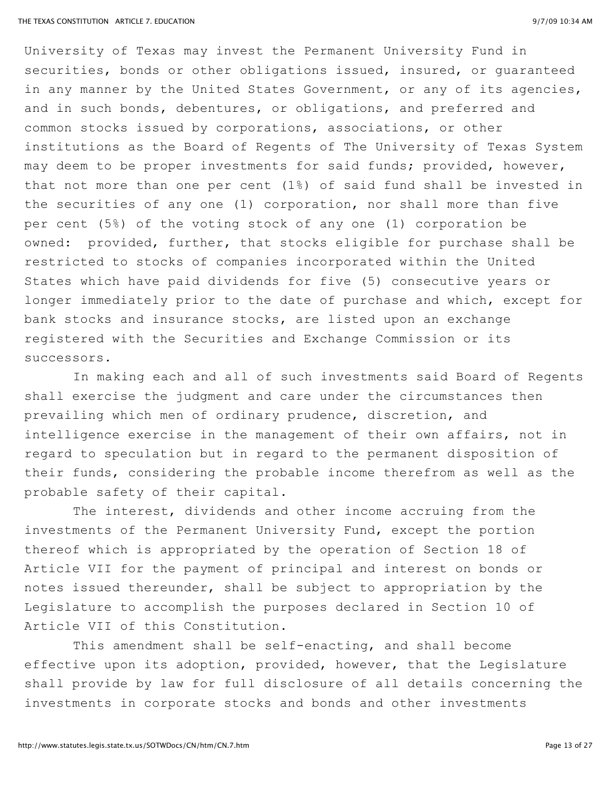University of Texas may invest the Permanent University Fund in securities, bonds or other obligations issued, insured, or guaranteed in any manner by the United States Government, or any of its agencies, and in such bonds, debentures, or obligations, and preferred and common stocks issued by corporations, associations, or other institutions as the Board of Regents of The University of Texas System may deem to be proper investments for said funds; provided, however, that not more than one per cent (1%) of said fund shall be invested in the securities of any one (1) corporation, nor shall more than five per cent (5%) of the voting stock of any one (1) corporation be owned: provided, further, that stocks eligible for purchase shall be restricted to stocks of companies incorporated within the United States which have paid dividends for five (5) consecutive years or longer immediately prior to the date of purchase and which, except for bank stocks and insurance stocks, are listed upon an exchange registered with the Securities and Exchange Commission or its successors.

In making each and all of such investments said Board of Regents shall exercise the judgment and care under the circumstances then prevailing which men of ordinary prudence, discretion, and intelligence exercise in the management of their own affairs, not in regard to speculation but in regard to the permanent disposition of their funds, considering the probable income therefrom as well as the probable safety of their capital.

The interest, dividends and other income accruing from the investments of the Permanent University Fund, except the portion thereof which is appropriated by the operation of Section 18 of Article VII for the payment of principal and interest on bonds or notes issued thereunder, shall be subject to appropriation by the Legislature to accomplish the purposes declared in Section 10 of Article VII of this Constitution.

This amendment shall be self-enacting, and shall become effective upon its adoption, provided, however, that the Legislature shall provide by law for full disclosure of all details concerning the investments in corporate stocks and bonds and other investments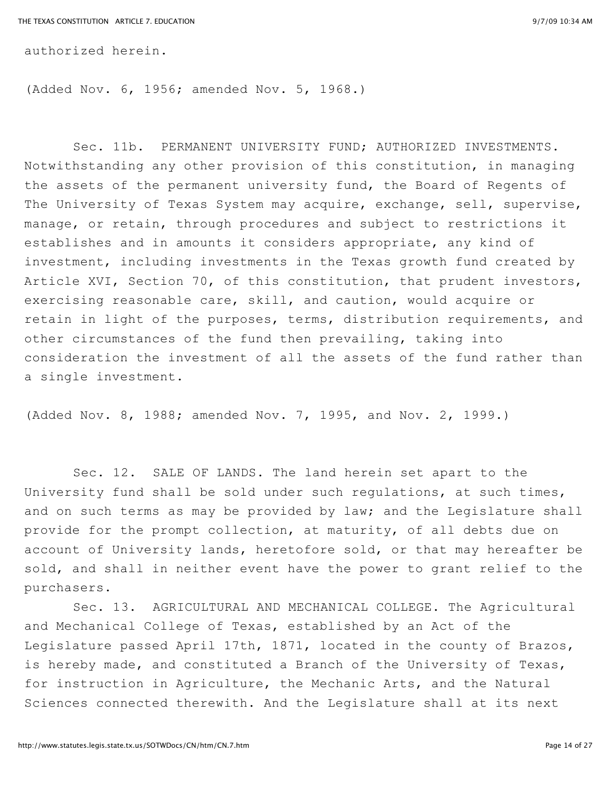authorized herein.

(Added Nov. 6, 1956; amended Nov. 5, 1968.)

Sec. 11b. PERMANENT UNIVERSITY FUND; AUTHORIZED INVESTMENTS. Notwithstanding any other provision of this constitution, in managing the assets of the permanent university fund, the Board of Regents of The University of Texas System may acquire, exchange, sell, supervise, manage, or retain, through procedures and subject to restrictions it establishes and in amounts it considers appropriate, any kind of investment, including investments in the Texas growth fund created by Article XVI, Section 70, of this constitution, that prudent investors, exercising reasonable care, skill, and caution, would acquire or retain in light of the purposes, terms, distribution requirements, and other circumstances of the fund then prevailing, taking into consideration the investment of all the assets of the fund rather than a single investment.

(Added Nov. 8, 1988; amended Nov. 7, 1995, and Nov. 2, 1999.)

Sec. 12. SALE OF LANDS. The land herein set apart to the University fund shall be sold under such regulations, at such times, and on such terms as may be provided by law; and the Legislature shall provide for the prompt collection, at maturity, of all debts due on account of University lands, heretofore sold, or that may hereafter be sold, and shall in neither event have the power to grant relief to the purchasers.

Sec. 13. AGRICULTURAL AND MECHANICAL COLLEGE. The Agricultural and Mechanical College of Texas, established by an Act of the Legislature passed April 17th, 1871, located in the county of Brazos, is hereby made, and constituted a Branch of the University of Texas, for instruction in Agriculture, the Mechanic Arts, and the Natural Sciences connected therewith. And the Legislature shall at its next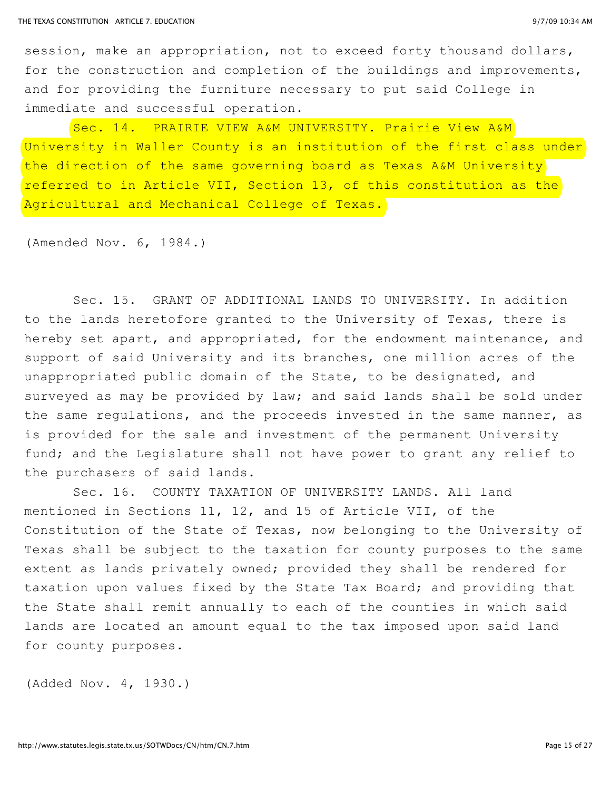session, make an appropriation, not to exceed forty thousand dollars, for the construction and completion of the buildings and improvements, and for providing the furniture necessary to put said College in immediate and successful operation.

Sec. 14. PRAIRIE VIEW A&M UNIVERSITY. Prairie View A&M University in Waller County is an institution of the first class under the direction of the same governing board as Texas A&M University referred to in Article VII, Section 13, of this constitution as the Agricultural and Mechanical College of Texas.

(Amended Nov. 6, 1984.)

Sec. 15. GRANT OF ADDITIONAL LANDS TO UNIVERSITY. In addition to the lands heretofore granted to the University of Texas, there is hereby set apart, and appropriated, for the endowment maintenance, and support of said University and its branches, one million acres of the unappropriated public domain of the State, to be designated, and surveyed as may be provided by law; and said lands shall be sold under the same regulations, and the proceeds invested in the same manner, as is provided for the sale and investment of the permanent University fund; and the Legislature shall not have power to grant any relief to the purchasers of said lands.

Sec. 16. COUNTY TAXATION OF UNIVERSITY LANDS. All land mentioned in Sections 11, 12, and 15 of Article VII, of the Constitution of the State of Texas, now belonging to the University of Texas shall be subject to the taxation for county purposes to the same extent as lands privately owned; provided they shall be rendered for taxation upon values fixed by the State Tax Board; and providing that the State shall remit annually to each of the counties in which said lands are located an amount equal to the tax imposed upon said land for county purposes.

(Added Nov. 4, 1930.)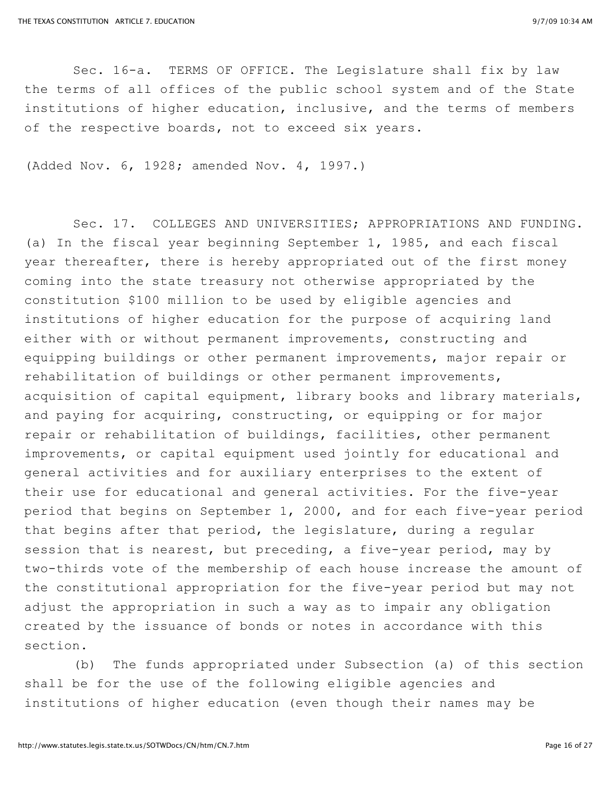Sec. 16-a. TERMS OF OFFICE. The Legislature shall fix by law the terms of all offices of the public school system and of the State institutions of higher education, inclusive, and the terms of members of the respective boards, not to exceed six years.

(Added Nov. 6, 1928; amended Nov. 4, 1997.)

Sec. 17. COLLEGES AND UNIVERSITIES; APPROPRIATIONS AND FUNDING. (a) In the fiscal year beginning September 1, 1985, and each fiscal year thereafter, there is hereby appropriated out of the first money coming into the state treasury not otherwise appropriated by the constitution \$100 million to be used by eligible agencies and institutions of higher education for the purpose of acquiring land either with or without permanent improvements, constructing and equipping buildings or other permanent improvements, major repair or rehabilitation of buildings or other permanent improvements, acquisition of capital equipment, library books and library materials, and paying for acquiring, constructing, or equipping or for major repair or rehabilitation of buildings, facilities, other permanent improvements, or capital equipment used jointly for educational and general activities and for auxiliary enterprises to the extent of their use for educational and general activities. For the five-year period that begins on September 1, 2000, and for each five-year period that begins after that period, the legislature, during a regular session that is nearest, but preceding, a five-year period, may by two-thirds vote of the membership of each house increase the amount of the constitutional appropriation for the five-year period but may not adjust the appropriation in such a way as to impair any obligation created by the issuance of bonds or notes in accordance with this section.

(b) The funds appropriated under Subsection (a) of this section shall be for the use of the following eligible agencies and institutions of higher education (even though their names may be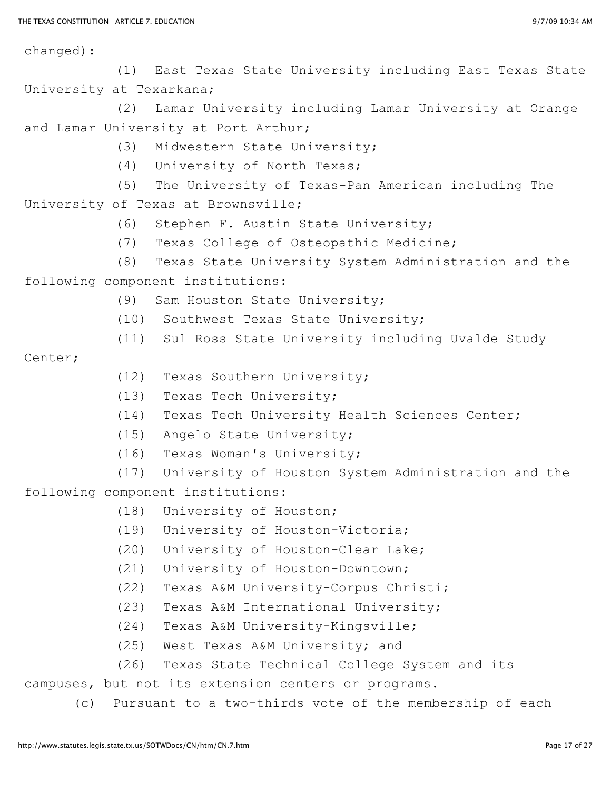changed):

(1) East Texas State University including East Texas State University at Texarkana;

(2) Lamar University including Lamar University at Orange and Lamar University at Port Arthur;

- (3) Midwestern State University;
- (4) University of North Texas;
- (5) The University of Texas-Pan American including The University of Texas at Brownsville;
	- (6) Stephen F. Austin State University;
	- (7) Texas College of Osteopathic Medicine;
	- (8) Texas State University System Administration and the

following component institutions:

- (9) Sam Houston State University;
- (10) Southwest Texas State University;
- (11) Sul Ross State University including Uvalde Study

## Center;

- (12) Texas Southern University;
- (13) Texas Tech University;
- (14) Texas Tech University Health Sciences Center;
- (15) Angelo State University;
- (16) Texas Woman's University;
- (17) University of Houston System Administration and the following component institutions:
	- (18) University of Houston;
	- (19) University of Houston-Victoria;
	- (20) University of Houston-Clear Lake;
	- (21) University of Houston-Downtown;
	- (22) Texas A&M University-Corpus Christi;
	- (23) Texas A&M International University;
	- (24) Texas A&M University-Kingsville;
	- (25) West Texas A&M University; and
	- (26) Texas State Technical College System and its

campuses, but not its extension centers or programs.

(c) Pursuant to a two-thirds vote of the membership of each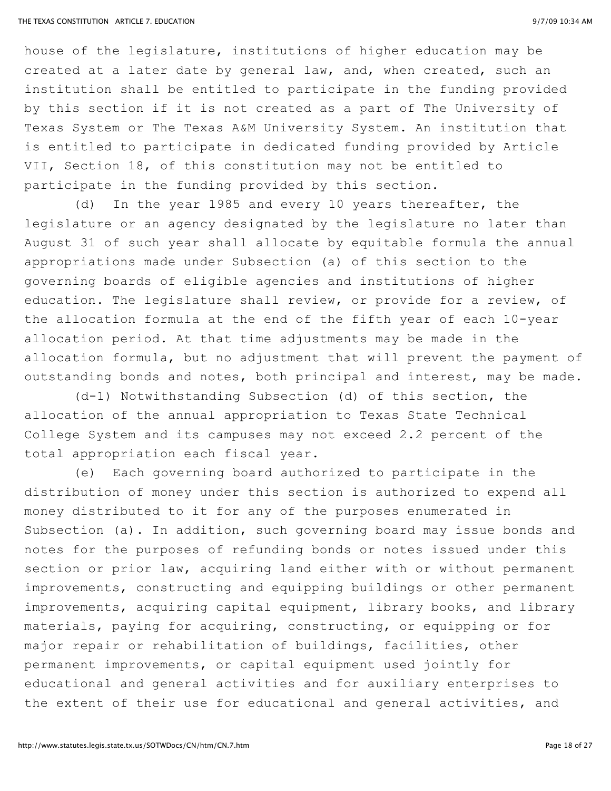house of the legislature, institutions of higher education may be created at a later date by general law, and, when created, such an institution shall be entitled to participate in the funding provided by this section if it is not created as a part of The University of Texas System or The Texas A&M University System. An institution that is entitled to participate in dedicated funding provided by Article VII, Section 18, of this constitution may not be entitled to participate in the funding provided by this section.

(d) In the year 1985 and every 10 years thereafter, the legislature or an agency designated by the legislature no later than August 31 of such year shall allocate by equitable formula the annual appropriations made under Subsection (a) of this section to the governing boards of eligible agencies and institutions of higher education. The legislature shall review, or provide for a review, of the allocation formula at the end of the fifth year of each 10-year allocation period. At that time adjustments may be made in the allocation formula, but no adjustment that will prevent the payment of outstanding bonds and notes, both principal and interest, may be made.

(d-1) Notwithstanding Subsection (d) of this section, the allocation of the annual appropriation to Texas State Technical College System and its campuses may not exceed 2.2 percent of the total appropriation each fiscal year.

(e) Each governing board authorized to participate in the distribution of money under this section is authorized to expend all money distributed to it for any of the purposes enumerated in Subsection (a). In addition, such governing board may issue bonds and notes for the purposes of refunding bonds or notes issued under this section or prior law, acquiring land either with or without permanent improvements, constructing and equipping buildings or other permanent improvements, acquiring capital equipment, library books, and library materials, paying for acquiring, constructing, or equipping or for major repair or rehabilitation of buildings, facilities, other permanent improvements, or capital equipment used jointly for educational and general activities and for auxiliary enterprises to the extent of their use for educational and general activities, and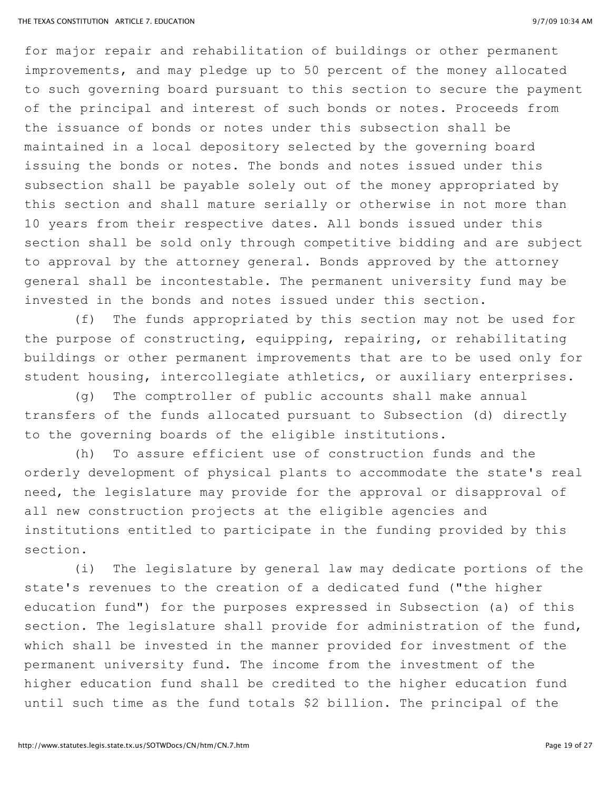for major repair and rehabilitation of buildings or other permanent improvements, and may pledge up to 50 percent of the money allocated to such governing board pursuant to this section to secure the payment of the principal and interest of such bonds or notes. Proceeds from the issuance of bonds or notes under this subsection shall be maintained in a local depository selected by the governing board issuing the bonds or notes. The bonds and notes issued under this subsection shall be payable solely out of the money appropriated by this section and shall mature serially or otherwise in not more than 10 years from their respective dates. All bonds issued under this section shall be sold only through competitive bidding and are subject to approval by the attorney general. Bonds approved by the attorney general shall be incontestable. The permanent university fund may be invested in the bonds and notes issued under this section.

(f) The funds appropriated by this section may not be used for the purpose of constructing, equipping, repairing, or rehabilitating buildings or other permanent improvements that are to be used only for student housing, intercollegiate athletics, or auxiliary enterprises.

(g) The comptroller of public accounts shall make annual transfers of the funds allocated pursuant to Subsection (d) directly to the governing boards of the eligible institutions.

(h) To assure efficient use of construction funds and the orderly development of physical plants to accommodate the state's real need, the legislature may provide for the approval or disapproval of all new construction projects at the eligible agencies and institutions entitled to participate in the funding provided by this section.

(i) The legislature by general law may dedicate portions of the state's revenues to the creation of a dedicated fund ("the higher education fund") for the purposes expressed in Subsection (a) of this section. The legislature shall provide for administration of the fund, which shall be invested in the manner provided for investment of the permanent university fund. The income from the investment of the higher education fund shall be credited to the higher education fund until such time as the fund totals \$2 billion. The principal of the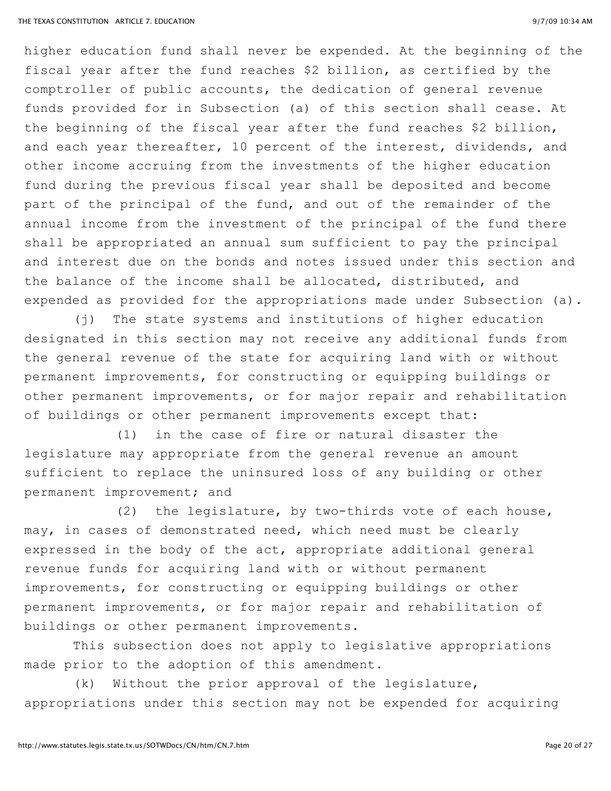higher education fund shall never be expended. At the beginning of the fiscal year after the fund reaches \$2 billion, as certified by the comptroller of public accounts, the dedication of general revenue funds provided for in Subsection (a) of this section shall cease. At the beginning of the fiscal year after the fund reaches \$2 billion, and each year thereafter, 10 percent of the interest, dividends, and other income accruing from the investments of the higher education fund during the previous fiscal year shall be deposited and become part of the principal of the fund, and out of the remainder of the annual income from the investment of the principal of the fund there shall be appropriated an annual sum sufficient to pay the principal and interest due on the bonds and notes issued under this section and the balance of the income shall be allocated, distributed, and expended as provided for the appropriations made under Subsection (a).

(j) The state systems and institutions of higher education designated in this section may not receive any additional funds from the general revenue of the state for acquiring land with or without permanent improvements, for constructing or equipping buildings or other permanent improvements, or for major repair and rehabilitation of buildings or other permanent improvements except that:

(1) in the case of fire or natural disaster the legislature may appropriate from the general revenue an amount sufficient to replace the uninsured loss of any building or other permanent improvement; and

(2) the legislature, by two-thirds vote of each house, may, in cases of demonstrated need, which need must be clearly expressed in the body of the act, appropriate additional general revenue funds for acquiring land with or without permanent improvements, for constructing or equipping buildings or other permanent improvements, or for major repair and rehabilitation of buildings or other permanent improvements.

This subsection does not apply to legislative appropriations made prior to the adoption of this amendment.

(k) Without the prior approval of the legislature, appropriations under this section may not be expended for acquiring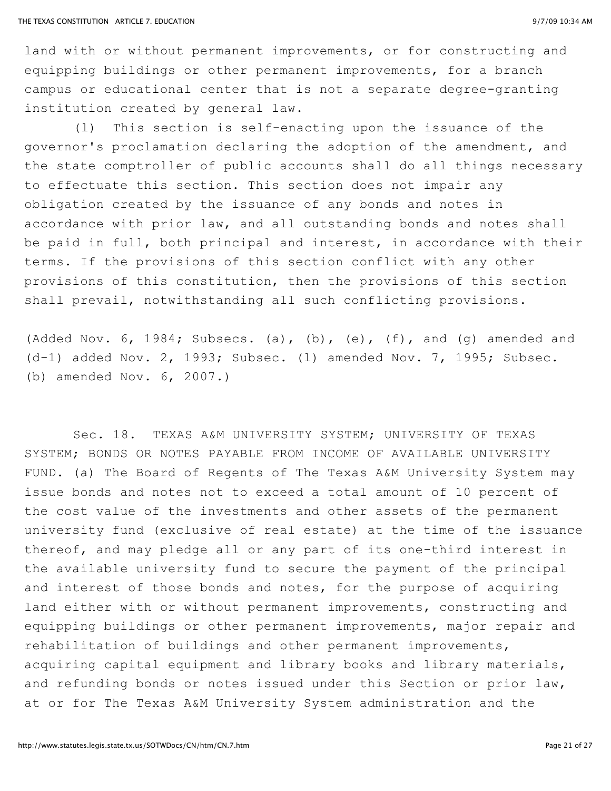land with or without permanent improvements, or for constructing and equipping buildings or other permanent improvements, for a branch campus or educational center that is not a separate degree-granting institution created by general law.

(l) This section is self-enacting upon the issuance of the governor's proclamation declaring the adoption of the amendment, and the state comptroller of public accounts shall do all things necessary to effectuate this section. This section does not impair any obligation created by the issuance of any bonds and notes in accordance with prior law, and all outstanding bonds and notes shall be paid in full, both principal and interest, in accordance with their terms. If the provisions of this section conflict with any other provisions of this constitution, then the provisions of this section shall prevail, notwithstanding all such conflicting provisions.

(Added Nov.  $6$ , 1984; Subsecs. (a), (b), (e), (f), and (q) amended and (d-1) added Nov. 2, 1993; Subsec. (l) amended Nov. 7, 1995; Subsec. (b) amended Nov. 6, 2007.)

Sec. 18. TEXAS A&M UNIVERSITY SYSTEM; UNIVERSITY OF TEXAS SYSTEM; BONDS OR NOTES PAYABLE FROM INCOME OF AVAILABLE UNIVERSITY FUND. (a) The Board of Regents of The Texas A&M University System may issue bonds and notes not to exceed a total amount of 10 percent of the cost value of the investments and other assets of the permanent university fund (exclusive of real estate) at the time of the issuance thereof, and may pledge all or any part of its one-third interest in the available university fund to secure the payment of the principal and interest of those bonds and notes, for the purpose of acquiring land either with or without permanent improvements, constructing and equipping buildings or other permanent improvements, major repair and rehabilitation of buildings and other permanent improvements, acquiring capital equipment and library books and library materials, and refunding bonds or notes issued under this Section or prior law, at or for The Texas A&M University System administration and the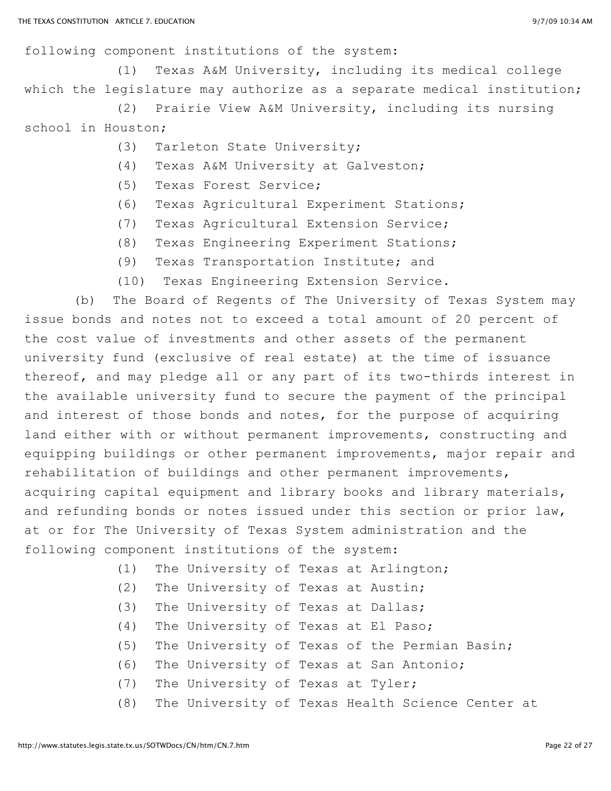following component institutions of the system:

(1) Texas A&M University, including its medical college which the legislature may authorize as a separate medical institution;

(2) Prairie View A&M University, including its nursing school in Houston;

- (3) Tarleton State University;
- (4) Texas A&M University at Galveston;
- (5) Texas Forest Service;
- (6) Texas Agricultural Experiment Stations;
- (7) Texas Agricultural Extension Service;
- (8) Texas Engineering Experiment Stations;
- (9) Texas Transportation Institute; and
- (10) Texas Engineering Extension Service.

(b) The Board of Regents of The University of Texas System may issue bonds and notes not to exceed a total amount of 20 percent of the cost value of investments and other assets of the permanent university fund (exclusive of real estate) at the time of issuance thereof, and may pledge all or any part of its two-thirds interest in the available university fund to secure the payment of the principal and interest of those bonds and notes, for the purpose of acquiring land either with or without permanent improvements, constructing and equipping buildings or other permanent improvements, major repair and rehabilitation of buildings and other permanent improvements, acquiring capital equipment and library books and library materials, and refunding bonds or notes issued under this section or prior law, at or for The University of Texas System administration and the following component institutions of the system:

- (1) The University of Texas at Arlington;
- (2) The University of Texas at Austin;
- (3) The University of Texas at Dallas;
- (4) The University of Texas at El Paso;
- (5) The University of Texas of the Permian Basin;
- (6) The University of Texas at San Antonio;
- (7) The University of Texas at Tyler;
- (8) The University of Texas Health Science Center at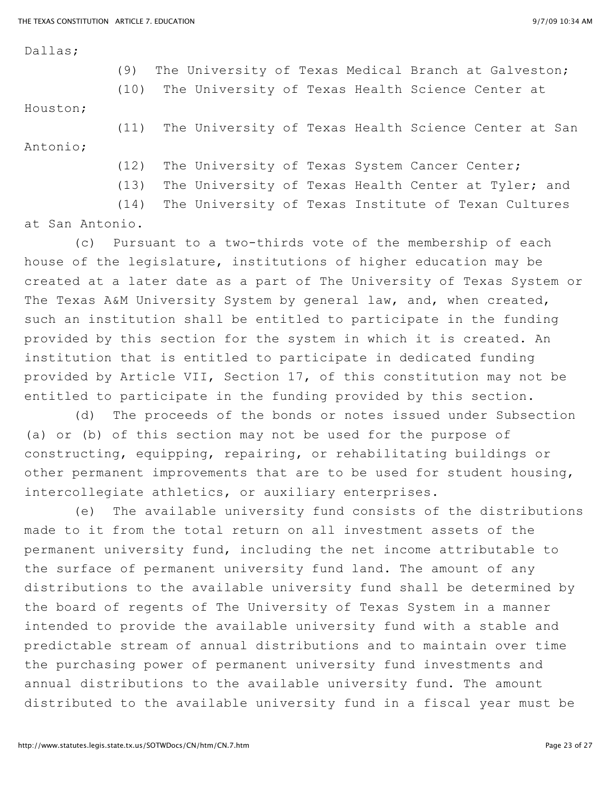Dallas;

(9) The University of Texas Medical Branch at Galveston;

(10) The University of Texas Health Science Center at

Houston;

(11) The University of Texas Health Science Center at San Antonio;

(12) The University of Texas System Cancer Center;

(13) The University of Texas Health Center at Tyler; and

(14) The University of Texas Institute of Texan Cultures at San Antonio.

(c) Pursuant to a two-thirds vote of the membership of each house of the legislature, institutions of higher education may be created at a later date as a part of The University of Texas System or The Texas A&M University System by general law, and, when created, such an institution shall be entitled to participate in the funding provided by this section for the system in which it is created. An institution that is entitled to participate in dedicated funding provided by Article VII, Section 17, of this constitution may not be entitled to participate in the funding provided by this section.

(d) The proceeds of the bonds or notes issued under Subsection (a) or (b) of this section may not be used for the purpose of constructing, equipping, repairing, or rehabilitating buildings or other permanent improvements that are to be used for student housing, intercollegiate athletics, or auxiliary enterprises.

(e) The available university fund consists of the distributions made to it from the total return on all investment assets of the permanent university fund, including the net income attributable to the surface of permanent university fund land. The amount of any distributions to the available university fund shall be determined by the board of regents of The University of Texas System in a manner intended to provide the available university fund with a stable and predictable stream of annual distributions and to maintain over time the purchasing power of permanent university fund investments and annual distributions to the available university fund. The amount distributed to the available university fund in a fiscal year must be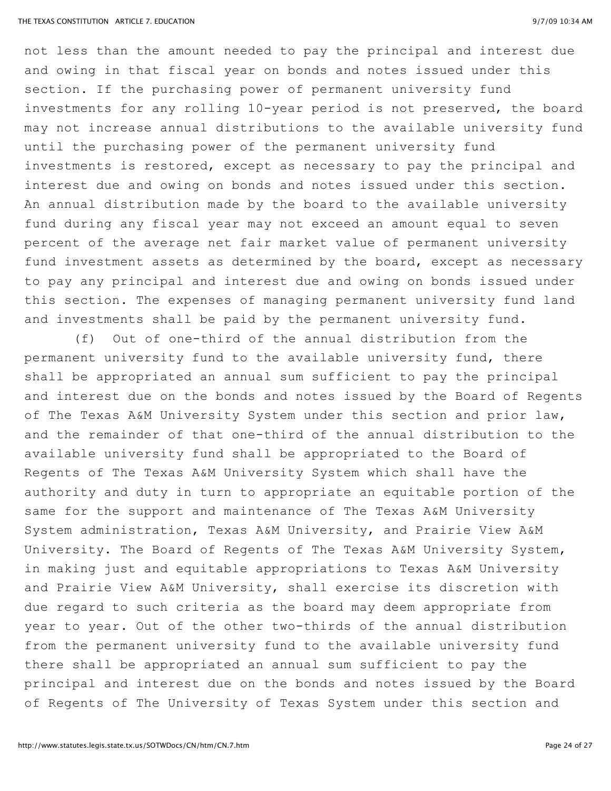not less than the amount needed to pay the principal and interest due and owing in that fiscal year on bonds and notes issued under this section. If the purchasing power of permanent university fund investments for any rolling 10-year period is not preserved, the board may not increase annual distributions to the available university fund until the purchasing power of the permanent university fund investments is restored, except as necessary to pay the principal and interest due and owing on bonds and notes issued under this section. An annual distribution made by the board to the available university fund during any fiscal year may not exceed an amount equal to seven percent of the average net fair market value of permanent university fund investment assets as determined by the board, except as necessary to pay any principal and interest due and owing on bonds issued under this section. The expenses of managing permanent university fund land and investments shall be paid by the permanent university fund.

(f) Out of one-third of the annual distribution from the permanent university fund to the available university fund, there shall be appropriated an annual sum sufficient to pay the principal and interest due on the bonds and notes issued by the Board of Regents of The Texas A&M University System under this section and prior law, and the remainder of that one-third of the annual distribution to the available university fund shall be appropriated to the Board of Regents of The Texas A&M University System which shall have the authority and duty in turn to appropriate an equitable portion of the same for the support and maintenance of The Texas A&M University System administration, Texas A&M University, and Prairie View A&M University. The Board of Regents of The Texas A&M University System, in making just and equitable appropriations to Texas A&M University and Prairie View A&M University, shall exercise its discretion with due regard to such criteria as the board may deem appropriate from year to year. Out of the other two-thirds of the annual distribution from the permanent university fund to the available university fund there shall be appropriated an annual sum sufficient to pay the principal and interest due on the bonds and notes issued by the Board of Regents of The University of Texas System under this section and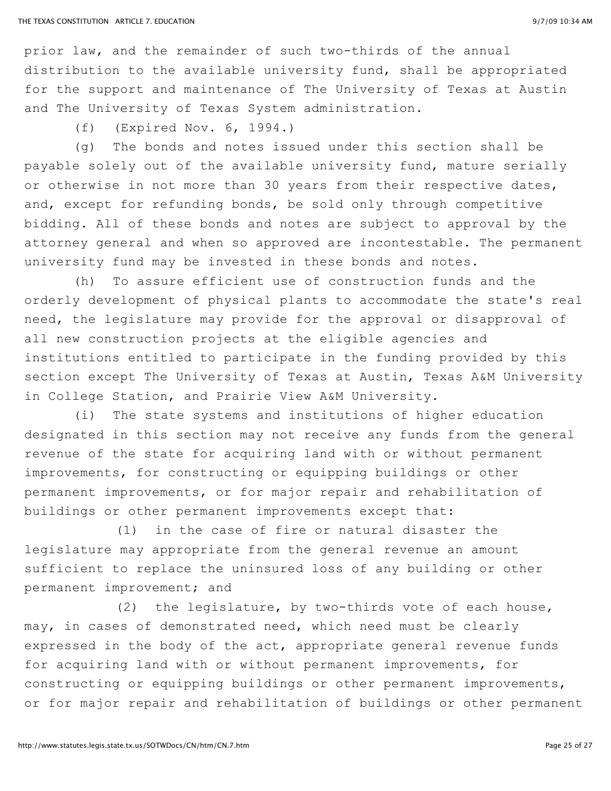prior law, and the remainder of such two-thirds of the annual distribution to the available university fund, shall be appropriated for the support and maintenance of The University of Texas at Austin and The University of Texas System administration.

(f) (Expired Nov. 6, 1994.)

(g) The bonds and notes issued under this section shall be payable solely out of the available university fund, mature serially or otherwise in not more than 30 years from their respective dates, and, except for refunding bonds, be sold only through competitive bidding. All of these bonds and notes are subject to approval by the attorney general and when so approved are incontestable. The permanent university fund may be invested in these bonds and notes.

(h) To assure efficient use of construction funds and the orderly development of physical plants to accommodate the state's real need, the legislature may provide for the approval or disapproval of all new construction projects at the eligible agencies and institutions entitled to participate in the funding provided by this section except The University of Texas at Austin, Texas A&M University in College Station, and Prairie View A&M University.

(i) The state systems and institutions of higher education designated in this section may not receive any funds from the general revenue of the state for acquiring land with or without permanent improvements, for constructing or equipping buildings or other permanent improvements, or for major repair and rehabilitation of buildings or other permanent improvements except that:

(1) in the case of fire or natural disaster the legislature may appropriate from the general revenue an amount sufficient to replace the uninsured loss of any building or other permanent improvement; and

(2) the legislature, by two-thirds vote of each house, may, in cases of demonstrated need, which need must be clearly expressed in the body of the act, appropriate general revenue funds for acquiring land with or without permanent improvements, for constructing or equipping buildings or other permanent improvements, or for major repair and rehabilitation of buildings or other permanent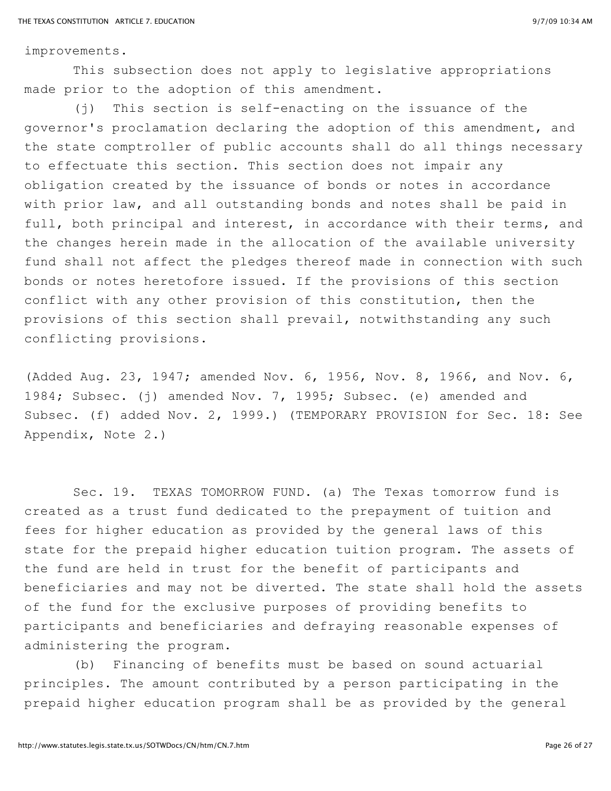improvements.

This subsection does not apply to legislative appropriations made prior to the adoption of this amendment.

(j) This section is self-enacting on the issuance of the governor's proclamation declaring the adoption of this amendment, and the state comptroller of public accounts shall do all things necessary to effectuate this section. This section does not impair any obligation created by the issuance of bonds or notes in accordance with prior law, and all outstanding bonds and notes shall be paid in full, both principal and interest, in accordance with their terms, and the changes herein made in the allocation of the available university fund shall not affect the pledges thereof made in connection with such bonds or notes heretofore issued. If the provisions of this section conflict with any other provision of this constitution, then the provisions of this section shall prevail, notwithstanding any such conflicting provisions.

(Added Aug. 23, 1947; amended Nov. 6, 1956, Nov. 8, 1966, and Nov. 6, 1984; Subsec. (j) amended Nov. 7, 1995; Subsec. (e) amended and Subsec. (f) added Nov. 2, 1999.) (TEMPORARY PROVISION for Sec. 18: See Appendix, Note 2.)

Sec. 19. TEXAS TOMORROW FUND. (a) The Texas tomorrow fund is created as a trust fund dedicated to the prepayment of tuition and fees for higher education as provided by the general laws of this state for the prepaid higher education tuition program. The assets of the fund are held in trust for the benefit of participants and beneficiaries and may not be diverted. The state shall hold the assets of the fund for the exclusive purposes of providing benefits to participants and beneficiaries and defraying reasonable expenses of administering the program.

(b) Financing of benefits must be based on sound actuarial principles. The amount contributed by a person participating in the prepaid higher education program shall be as provided by the general